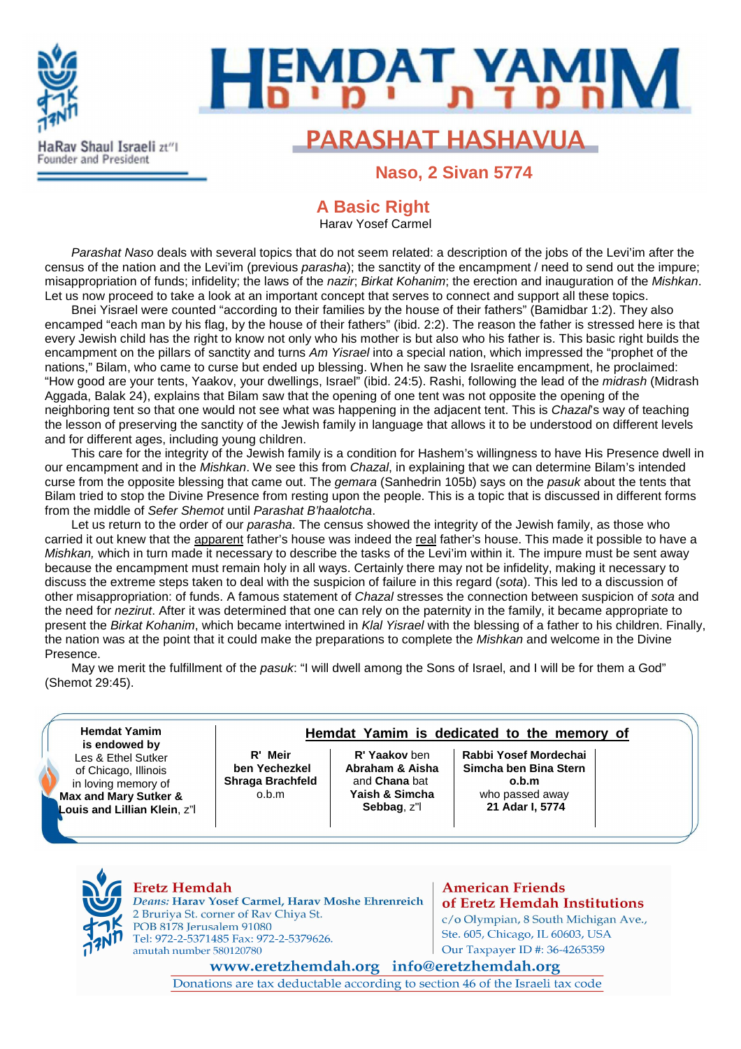

# **HEMDAT, YAMIN Naso**

# PARASHAT HASHAVUA

**Naso, 2 Sivan 5774**

### **A Basic Right**

Harav Yosef Carmel

Parashat Naso deals with several topics that do not seem related: a description of the jobs of the Levi'im after the census of the nation and the Levi'im (previous parasha); the sanctity of the encampment / need to send out the impure; misappropriation of funds; infidelity; the laws of the *nazir*; Birkat Kohanim; the erection and inauguration of the Mishkan. Let us now proceed to take a look at an important concept that serves to connect and support all these topics.

Bnei Yisrael were counted "according to their families by the house of their fathers" (Bamidbar 1:2). They also encamped "each man by his flag, by the house of their fathers" (ibid. 2:2). The reason the father is stressed here is that every Jewish child has the right to know not only who his mother is but also who his father is. This basic right builds the encampment on the pillars of sanctity and turns Am Yisrael into a special nation, which impressed the "prophet of the nations," Bilam, who came to curse but ended up blessing. When he saw the Israelite encampment, he proclaimed: "How good are your tents, Yaakov, your dwellings, Israel" (ibid. 24:5). Rashi, following the lead of the midrash (Midrash Aggada, Balak 24), explains that Bilam saw that the opening of one tent was not opposite the opening of the neighboring tent so that one would not see what was happening in the adjacent tent. This is Chazal's way of teaching the lesson of preserving the sanctity of the Jewish family in language that allows it to be understood on different levels and for different ages, including young children.

This care for the integrity of the Jewish family is a condition for Hashem's willingness to have His Presence dwell in our encampment and in the Mishkan. We see this from Chazal, in explaining that we can determine Bilam's intended curse from the opposite blessing that came out. The *gemara* (Sanhedrin 105b) says on the *pasuk* about the tents that Bilam tried to stop the Divine Presence from resting upon the people. This is a topic that is discussed in different forms from the middle of Sefer Shemot until Parashat B'haalotcha.

Let us return to the order of our parasha. The census showed the integrity of the Jewish family, as those who carried it out knew that the apparent father's house was indeed the real father's house. This made it possible to have a Mishkan, which in turn made it necessary to describe the tasks of the Levi'im within it. The impure must be sent away because the encampment must remain holy in all ways. Certainly there may not be infidelity, making it necessary to discuss the extreme steps taken to deal with the suspicion of failure in this regard (sota). This led to a discussion of other misappropriation: of funds. A famous statement of Chazal stresses the connection between suspicion of sota and the need for *nezirut*. After it was determined that one can rely on the paternity in the family, it became appropriate to present the Birkat Kohanim, which became intertwined in Klal Yisrael with the blessing of a father to his children. Finally, the nation was at the point that it could make the preparations to complete the *Mishkan* and welcome in the Divine Presence.

May we merit the fulfillment of the pasuk: "I will dwell among the Sons of Israel, and I will be for them a God" (Shemot 29:45).

l

**Hemdat Yamim is endowed by**  Les & Ethel Sutker of Chicago, Illinois in loving memory of **Max and Mary Sutker & Louis and Lillian Klein**, z"l

**R' Meir ben Yechezkel Shraga Brachfeld** o.b.m

**R' Yaakov** ben **Abraham & Aisha**  and **Chana** bat **Yaish & Simcha Sebbag**, z"l

**Rabbi Yosef Mordechai Simcha ben Bina Stern o.b.m** who passed away  **21 Adar I, 5774** 

**Hemdat Yamim is dedicated to the memory of**



**Eretz Hemdah** Deans: Harav Yosef Carmel, Harav Moshe Ehrenreich 2 Bruriya St. corner of Rav Chiya St. POB 8178 Jerusalem 91080 Tel: 972-2-5371485 Fax: 972-2-5379626. amutah number 580120780

**American Friends** of Eretz Hemdah Institutions c/o Olympian, 8 South Michigan Ave., Ste. 605, Chicago, IL 60603, USA Our Taxpayer ID #: 36-4265359

www.eretzhemdah.org info@eretzhemdah.org

Donations are tax deductable according to section 46 of the Israeli tax code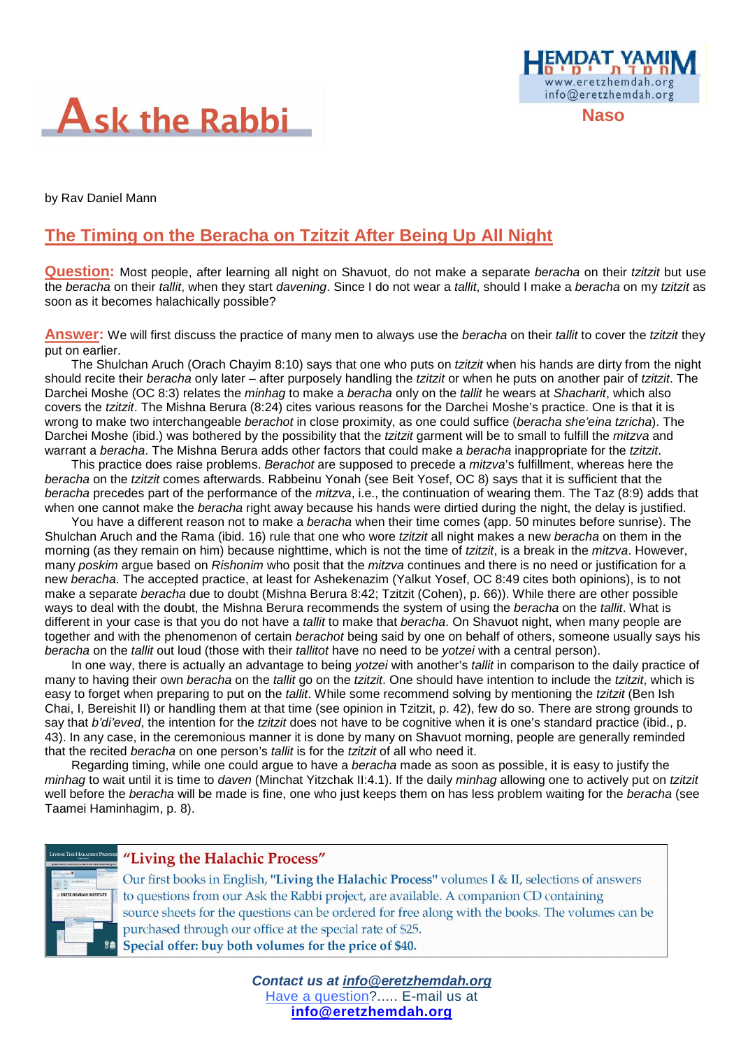



**Naso and American Structure Maso** 

by Rav Daniel Mann

# **The Timing on the Beracha on Tzitzit After Being Up All Night**

**Question:** Most people, after learning all night on Shavuot, do not make a separate *beracha* on their *tzitzit* but use the beracha on their tallit, when they start davening. Since I do not wear a tallit, should I make a beracha on my tzitzit as soon as it becomes halachically possible?

**Answer:** We will first discuss the practice of many men to always use the beracha on their tallit to cover the tzitzit they put on earlier.

The Shulchan Aruch (Orach Chayim 8:10) says that one who puts on tzitzit when his hands are dirty from the night should recite their beracha only later – after purposely handling the tzitzit or when he puts on another pair of tzitzit. The Darchei Moshe (OC 8:3) relates the minhag to make a beracha only on the tallit he wears at Shacharit, which also covers the tzitzit. The Mishna Berura (8:24) cites various reasons for the Darchei Moshe's practice. One is that it is wrong to make two interchangeable berachot in close proximity, as one could suffice (beracha she'eina tzricha). The Darchei Moshe (ibid.) was bothered by the possibility that the *tzitzit* garment will be to small to fulfill the *mitzva* and warrant a beracha. The Mishna Berura adds other factors that could make a beracha inappropriate for the tzitzit.

This practice does raise problems. Berachot are supposed to precede a *mitzva*'s fulfillment, whereas here the beracha on the tzitzit comes afterwards. Rabbeinu Yonah (see Beit Yosef, OC 8) says that it is sufficient that the beracha precedes part of the performance of the *mitzva*, i.e., the continuation of wearing them. The Taz (8:9) adds that when one cannot make the beracha right away because his hands were dirtied during the night, the delay is justified.

You have a different reason not to make a beracha when their time comes (app. 50 minutes before sunrise). The Shulchan Aruch and the Rama (ibid. 16) rule that one who wore tzitzit all night makes a new beracha on them in the morning (as they remain on him) because nighttime, which is not the time of tzitzit, is a break in the mitzva. However, many poskim argue based on Rishonim who posit that the mitzva continues and there is no need or justification for a new beracha. The accepted practice, at least for Ashekenazim (Yalkut Yosef, OC 8:49 cites both opinions), is to not make a separate beracha due to doubt (Mishna Berura 8:42; Tzitzit (Cohen), p. 66)). While there are other possible ways to deal with the doubt, the Mishna Berura recommends the system of using the beracha on the tallit. What is different in your case is that you do not have a *tallit* to make that *beracha*. On Shayuot night, when many people are together and with the phenomenon of certain berachot being said by one on behalf of others, someone usually says his beracha on the tallit out loud (those with their tallitot have no need to be votzei with a central person).

In one way, there is actually an advantage to being yotzei with another's tallit in comparison to the daily practice of many to having their own beracha on the tallit go on the tzitzit. One should have intention to include the tzitzit, which is easy to forget when preparing to put on the tallit. While some recommend solving by mentioning the tzitzit (Ben Ish Chai, I, Bereishit II) or handling them at that time (see opinion in Tzitzit, p. 42), few do so. There are strong grounds to say that b'di'eved, the intention for the tzitzit does not have to be cognitive when it is one's standard practice (ibid., p. 43). In any case, in the ceremonious manner it is done by many on Shavuot morning, people are generally reminded that the recited beracha on one person's *tallit* is for the *tzitzit* of all who need it.

Regarding timing, while one could argue to have a *beracha* made as soon as possible, it is easy to justify the minhag to wait until it is time to daven (Minchat Yitzchak II:4.1). If the daily minhag allowing one to actively put on tzitzit well before the beracha will be made is fine, one who just keeps them on has less problem waiting for the beracha (see Taamei Haminhagim, p. 8).



#### "Living the Halachic Process"

Our first books in English, "Living the Halachic Process" volumes I & II, selections of answers to questions from our Ask the Rabbi project, are available. A companion CD containing source sheets for the questions can be ordered for free along with the books. The volumes can be purchased through our office at the special rate of \$25. Special offer: buy both volumes for the price of \$40.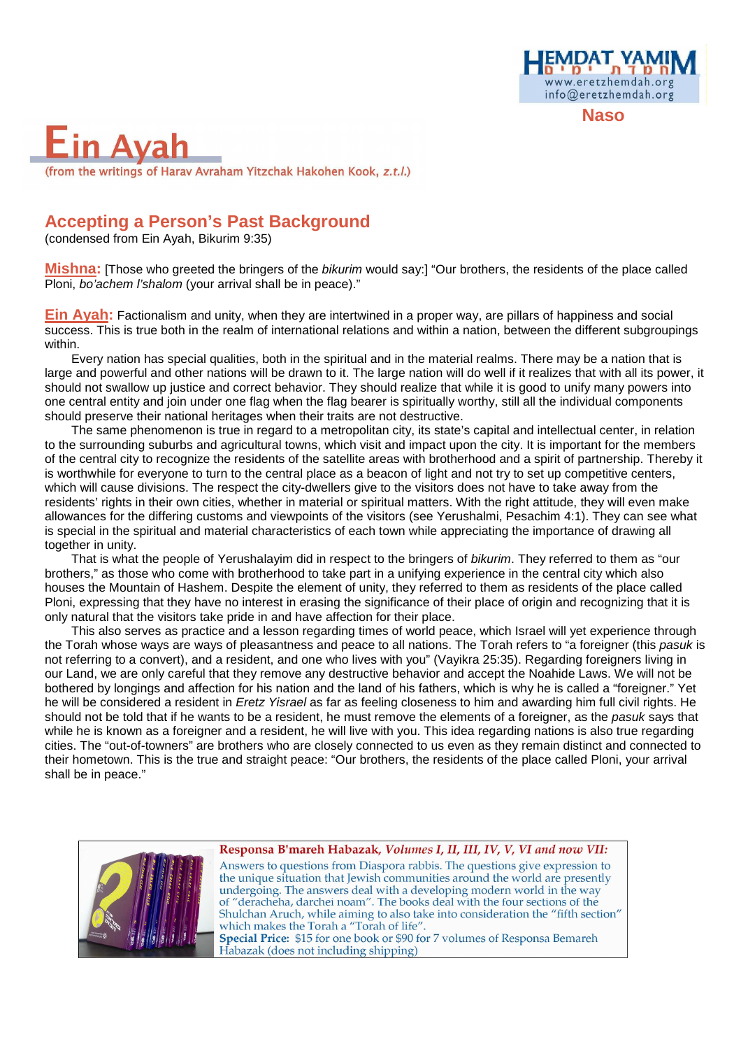

**Naso and Service State State State State State State State State State State State State State State State St** 

(from the writings of Harav Avraham Yitzchak Hakohen Kook, z.t.l.)

## **Accepting a Person's Past Background**

(condensed from Ein Ayah, Bikurim 9:35)

**Mishna:** [Those who greeted the bringers of the bikurim would say:] "Our brothers, the residents of the place called Ploni, bo'achem l'shalom (your arrival shall be in peace)."

**Ein Ayah:** Factionalism and unity, when they are intertwined in a proper way, are pillars of happiness and social success. This is true both in the realm of international relations and within a nation, between the different subgroupings within.

Every nation has special qualities, both in the spiritual and in the material realms. There may be a nation that is large and powerful and other nations will be drawn to it. The large nation will do well if it realizes that with all its power, it should not swallow up justice and correct behavior. They should realize that while it is good to unify many powers into one central entity and join under one flag when the flag bearer is spiritually worthy, still all the individual components should preserve their national heritages when their traits are not destructive.

The same phenomenon is true in regard to a metropolitan city, its state's capital and intellectual center, in relation to the surrounding suburbs and agricultural towns, which visit and impact upon the city. It is important for the members of the central city to recognize the residents of the satellite areas with brotherhood and a spirit of partnership. Thereby it is worthwhile for everyone to turn to the central place as a beacon of light and not try to set up competitive centers, which will cause divisions. The respect the city-dwellers give to the visitors does not have to take away from the residents' rights in their own cities, whether in material or spiritual matters. With the right attitude, they will even make allowances for the differing customs and viewpoints of the visitors (see Yerushalmi, Pesachim 4:1). They can see what is special in the spiritual and material characteristics of each town while appreciating the importance of drawing all together in unity.

That is what the people of Yerushalayim did in respect to the bringers of *bikurim*. They referred to them as "our brothers," as those who come with brotherhood to take part in a unifying experience in the central city which also houses the Mountain of Hashem. Despite the element of unity, they referred to them as residents of the place called Ploni, expressing that they have no interest in erasing the significance of their place of origin and recognizing that it is only natural that the visitors take pride in and have affection for their place.

This also serves as practice and a lesson regarding times of world peace, which Israel will yet experience through the Torah whose ways are ways of pleasantness and peace to all nations. The Torah refers to "a foreigner (this pasuk is not referring to a convert), and a resident, and one who lives with you" (Vayikra 25:35). Regarding foreigners living in our Land, we are only careful that they remove any destructive behavior and accept the Noahide Laws. We will not be bothered by longings and affection for his nation and the land of his fathers, which is why he is called a "foreigner." Yet he will be considered a resident in *Eretz Yisrael* as far as feeling closeness to him and awarding him full civil rights. He should not be told that if he wants to be a resident, he must remove the elements of a foreigner, as the pasuk says that while he is known as a foreigner and a resident, he will live with you. This idea regarding nations is also true regarding cities. The "out-of-towners" are brothers who are closely connected to us even as they remain distinct and connected to their hometown. This is the true and straight peace: "Our brothers, the residents of the place called Ploni, your arrival shall be in peace."



#### Responsa B'mareh Habazak, Volumes I, II, III, IV, V, VI and now VII:

Answers to questions from Diaspora rabbis. The questions give expression to the unique situation that Jewish communities around the world are presently undergoing. The answers deal with a developing modern world in the way of "deracheha, darchei noam". The books deal with the four sections of the Shulchan Aruch, while aiming to also take into consideration the "fifth section" which makes the Torah a "Torah of life".

Special Price: \$15 for one book or \$90 for 7 volumes of Responsa Bemareh Habazak (does not including shipping)